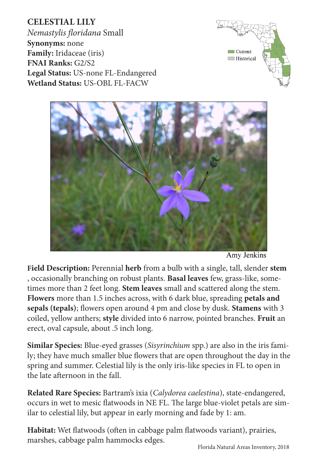Florida Natural Areas Inventory, 2018

**CELESTIAL LILY** *Nemastylis floridana* Small **Synonyms:** none **Family:** Iridaceae (iris) **FNAI Ranks:** G2/S2 **Legal Status:** US-none FL-Endangered **Wetland Status:** US-OBL FL-FACW

**Field Description:** Perennial **herb** from a bulb with a single, tall, slender **stem** , occasionally branching on robust plants. **Basal leaves** few, grass-like, sometimes more than 2 feet long. **Stem leaves** small and scattered along the stem. **Flowers** more than 1.5 inches across, with 6 dark blue, spreading **petals and sepals (tepals)**; flowers open around 4 pm and close by dusk. **Stamens** with 3 coiled, yellow anthers; **style** divided into 6 narrow, pointed branches. **Fruit** an erect, oval capsule, about .5 inch long.

**Similar Species:** Blue-eyed grasses (*Sisyrinchium* spp.) are also in the iris family; they have much smaller blue flowers that are open throughout the day in the spring and summer. Celestial lily is the only iris-like species in FL to open in the late afternoon in the fall.

**Related Rare Species:** Bartram's ixia (*Calydorea caelestina*), state-endangered, occurs in wet to mesic flatwoods in NE FL. The large blue-violet petals are similar to celestial lily, but appear in early morning and fade by 1: am.

**Habitat:** Wet flatwoods (often in cabbage palm flatwoods variant), prairies, marshes, cabbage palm hammocks edges.

Amy Jenkins